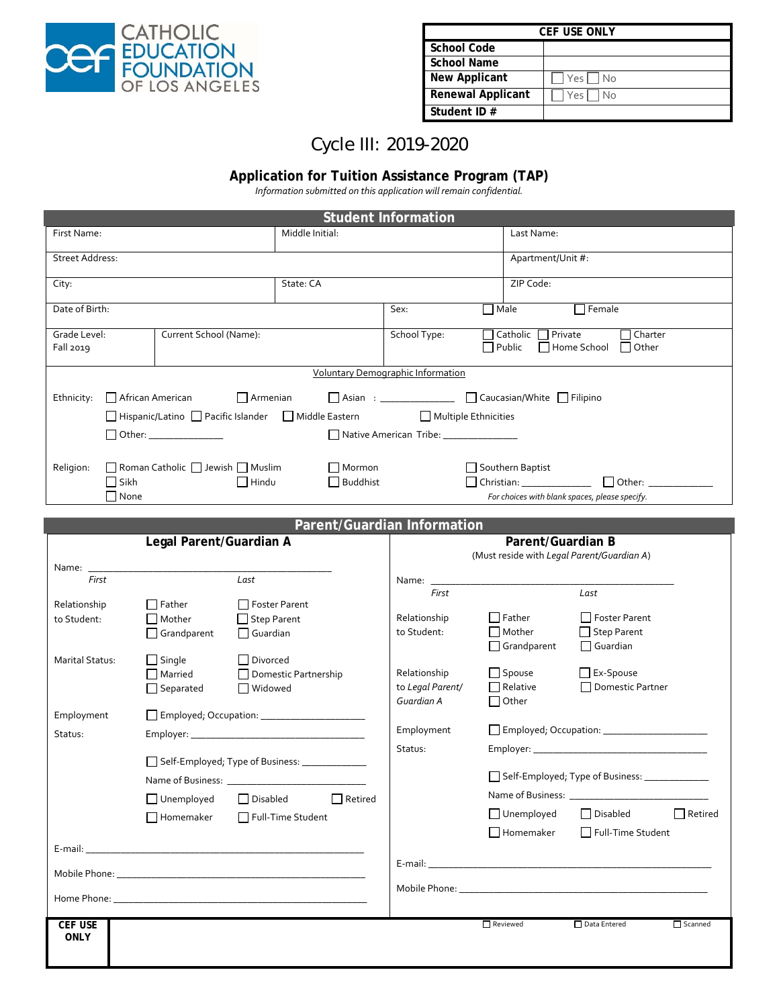

| <b>CEF USE ONLY</b>      |               |  |  |  |  |
|--------------------------|---------------|--|--|--|--|
| School Code              |               |  |  |  |  |
| School Name              |               |  |  |  |  |
| New Applicant            | $ Yes $ $ No$ |  |  |  |  |
| <b>Renewal Applicant</b> | Yes   No      |  |  |  |  |
| Student ID #             |               |  |  |  |  |

# Cycle III: 2019-2020

## **Application for Tuition Assistance Program (TAP)**

*Information submitted on this application will remain confidential.*

| <b>Student Information</b>                                                                                                                                                                                                                                      |                                                |                                   |                                                                                                               |                                      |                                            |                                                                                                                                                                                                                               |                |  |
|-----------------------------------------------------------------------------------------------------------------------------------------------------------------------------------------------------------------------------------------------------------------|------------------------------------------------|-----------------------------------|---------------------------------------------------------------------------------------------------------------|--------------------------------------|--------------------------------------------|-------------------------------------------------------------------------------------------------------------------------------------------------------------------------------------------------------------------------------|----------------|--|
| First Name:                                                                                                                                                                                                                                                     | Middle Initial:                                |                                   |                                                                                                               |                                      | Last Name:                                 |                                                                                                                                                                                                                               |                |  |
| <b>Street Address:</b>                                                                                                                                                                                                                                          |                                                |                                   |                                                                                                               |                                      | Apartment/Unit #:                          |                                                                                                                                                                                                                               |                |  |
| City:                                                                                                                                                                                                                                                           | State: CA                                      |                                   |                                                                                                               |                                      | ZIP Code:                                  |                                                                                                                                                                                                                               |                |  |
| Date of Birth:                                                                                                                                                                                                                                                  |                                                |                                   |                                                                                                               | $\Box$ Male<br>$\Box$ Female<br>Sex: |                                            |                                                                                                                                                                                                                               |                |  |
| Grade Level:<br>Current School (Name):<br>Fall 2019                                                                                                                                                                                                             |                                                |                                   | □ Catholic □ Private<br>$\Box$ Charter<br>School Type:<br>$\Box$ Public<br>$\Box$ Home School<br>$\Box$ Other |                                      |                                            |                                                                                                                                                                                                                               |                |  |
| <b>Voluntary Demographic Information</b>                                                                                                                                                                                                                        |                                                |                                   |                                                                                                               |                                      |                                            |                                                                                                                                                                                                                               |                |  |
| □ Asian : _______________ □ Caucasian/White □ Filipino<br>African American<br>Ethnicity:<br>$\Box$ Armenian<br>□ Hispanic/Latino □ Pacific Islander □ Middle Eastern<br>Multiple Ethnicities<br>Native American Tribe: _______________<br>Other: ______________ |                                                |                                   |                                                                                                               |                                      |                                            |                                                                                                                                                                                                                               |                |  |
| Religion:<br>Roman Catholic Jewish Muslim<br>Mormon<br>Southern Baptist<br>$\Box$ Sikh<br>$\Box$ Buddhist<br>$\Box$ Hindu<br>$\Box$ None<br>For choices with blank spaces, please specify.                                                                      |                                                |                                   |                                                                                                               |                                      |                                            |                                                                                                                                                                                                                               |                |  |
|                                                                                                                                                                                                                                                                 |                                                |                                   |                                                                                                               | Parent/Guardian Information          |                                            |                                                                                                                                                                                                                               |                |  |
|                                                                                                                                                                                                                                                                 | Legal Parent/Guardian A                        |                                   |                                                                                                               |                                      | Parent/Guardian B                          |                                                                                                                                                                                                                               |                |  |
|                                                                                                                                                                                                                                                                 |                                                |                                   |                                                                                                               |                                      | (Must reside with Legal Parent/Guardian A) |                                                                                                                                                                                                                               |                |  |
| Name: $\_\_$                                                                                                                                                                                                                                                    |                                                |                                   |                                                                                                               |                                      |                                            |                                                                                                                                                                                                                               |                |  |
| First                                                                                                                                                                                                                                                           |                                                | Last                              |                                                                                                               | Name: ______<br>First                |                                            | Last                                                                                                                                                                                                                          |                |  |
| Relationship                                                                                                                                                                                                                                                    | Father                                         | □ Foster Parent                   |                                                                                                               |                                      |                                            |                                                                                                                                                                                                                               |                |  |
| to Student:                                                                                                                                                                                                                                                     | $\Box$ Mother                                  | $\Box$ Step Parent                |                                                                                                               | Relationship                         | Father                                     | Foster Parent                                                                                                                                                                                                                 |                |  |
|                                                                                                                                                                                                                                                                 | $\Box$ Grandparent                             | $\Box$ Guardian                   |                                                                                                               | to Student:                          | $\Box$ Mother                              | Step Parent                                                                                                                                                                                                                   |                |  |
|                                                                                                                                                                                                                                                                 |                                                |                                   |                                                                                                               |                                      | $\Box$ Grandparent                         | $\Box$ Guardian                                                                                                                                                                                                               |                |  |
| Marital Status:                                                                                                                                                                                                                                                 | $\Box$ Single                                  | Divorced                          |                                                                                                               | Relationship                         | $\Box$ Spouse                              | $\Box$ Ex-Spouse                                                                                                                                                                                                              |                |  |
|                                                                                                                                                                                                                                                                 | $\Box$ Married<br>$\Box$ Separated             | Domestic Partnership<br>□ Widowed |                                                                                                               | to Legal Parent/                     | $\Box$ Relative                            | Domestic Partner                                                                                                                                                                                                              |                |  |
|                                                                                                                                                                                                                                                                 |                                                |                                   |                                                                                                               | Guardian A                           | $\Box$ Other                               |                                                                                                                                                                                                                               |                |  |
| Employment                                                                                                                                                                                                                                                      |                                                |                                   |                                                                                                               | Employment                           |                                            |                                                                                                                                                                                                                               |                |  |
| Status:                                                                                                                                                                                                                                                         |                                                |                                   |                                                                                                               |                                      |                                            |                                                                                                                                                                                                                               |                |  |
|                                                                                                                                                                                                                                                                 | Self-Employed; Type of Business: _____________ |                                   |                                                                                                               | Status:                              |                                            |                                                                                                                                                                                                                               |                |  |
| Name of Business: ______                                                                                                                                                                                                                                        |                                                |                                   |                                                                                                               | Self-Employed; Type of Business: __  |                                            |                                                                                                                                                                                                                               |                |  |
|                                                                                                                                                                                                                                                                 |                                                |                                   |                                                                                                               |                                      |                                            |                                                                                                                                                                                                                               |                |  |
|                                                                                                                                                                                                                                                                 | $\Box$ Unemployed                              | Disabled                          | $\Box$ Retired                                                                                                |                                      | $\Box$ Unemployed                          | $\Box$ Disabled                                                                                                                                                                                                               | $\Box$ Retired |  |
|                                                                                                                                                                                                                                                                 | $\Box$ Homemaker                               | Full-Time Student                 |                                                                                                               |                                      |                                            |                                                                                                                                                                                                                               |                |  |
|                                                                                                                                                                                                                                                                 |                                                |                                   |                                                                                                               |                                      | $\Box$ Homemaker                           | Full-Time Student                                                                                                                                                                                                             |                |  |
|                                                                                                                                                                                                                                                                 |                                                |                                   |                                                                                                               |                                      |                                            |                                                                                                                                                                                                                               |                |  |
|                                                                                                                                                                                                                                                                 |                                                |                                   |                                                                                                               |                                      |                                            | Mobile Phone: The Contract of the Contract of the Contract of the Contract of the Contract of the Contract of the Contract of the Contract of the Contract of the Contract of the Contract of the Contract of the Contract of |                |  |
|                                                                                                                                                                                                                                                                 |                                                |                                   |                                                                                                               |                                      |                                            |                                                                                                                                                                                                                               |                |  |
| <b>CEF USE</b><br><b>ONLY</b>                                                                                                                                                                                                                                   |                                                |                                   |                                                                                                               |                                      | Reviewed                                   | Data Entered                                                                                                                                                                                                                  | Scanned        |  |
|                                                                                                                                                                                                                                                                 |                                                |                                   |                                                                                                               |                                      |                                            |                                                                                                                                                                                                                               |                |  |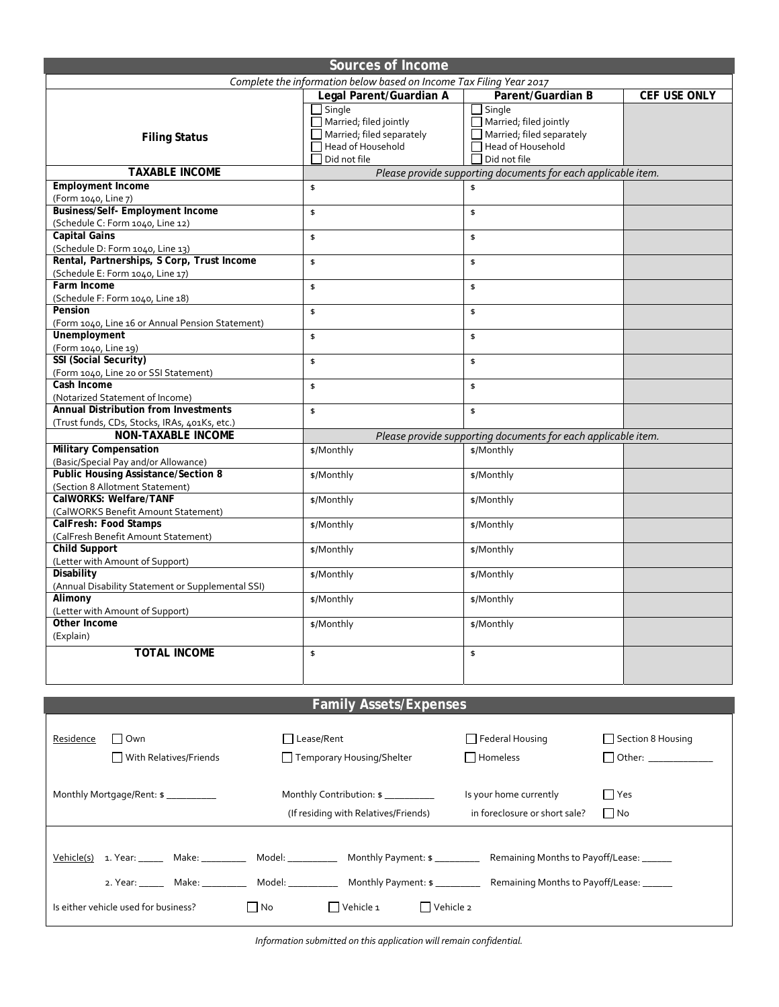| <b>Sources of Income</b>                                                                                                                |                                                               |                                                                             |                      |  |  |  |  |
|-----------------------------------------------------------------------------------------------------------------------------------------|---------------------------------------------------------------|-----------------------------------------------------------------------------|----------------------|--|--|--|--|
| Complete the information below based on Income Tax Filing Year 2017                                                                     |                                                               |                                                                             |                      |  |  |  |  |
|                                                                                                                                         | Legal Parent/Guardian A                                       | Parent/Guardian B                                                           | CEF USE ONLY         |  |  |  |  |
|                                                                                                                                         | $\Box$ Single<br>$\Box$ Married; filed jointly                | $\exists$ Single<br>$\Box$ Married; filed jointly                           |                      |  |  |  |  |
| <b>Filing Status</b>                                                                                                                    | $\Box$ Married; filed separately<br>$\Box$ Head of Household  | $\Box$ Married; filed separately<br>$\sqcap$ Head of Household              |                      |  |  |  |  |
|                                                                                                                                         | $\Box$ Did not file                                           | $\Box$ Did not file                                                         |                      |  |  |  |  |
| <b>TAXABLE INCOME</b>                                                                                                                   | Please provide supporting documents for each applicable item. |                                                                             |                      |  |  |  |  |
| <b>Employment Income</b><br>(Form 1040, Line 7)                                                                                         | \$                                                            | \$                                                                          |                      |  |  |  |  |
| <b>Business/Self- Employment Income</b><br>(Schedule C: Form 1040, Line 12)                                                             | \$                                                            | \$                                                                          |                      |  |  |  |  |
| <b>Capital Gains</b><br>(Schedule D: Form 1040, Line 13)                                                                                | \$                                                            | \$                                                                          |                      |  |  |  |  |
| Rental, Partnerships, S Corp, Trust Income<br>(Schedule E: Form 1040, Line 17)                                                          | \$                                                            | \$                                                                          |                      |  |  |  |  |
| Farm Income<br>(Schedule F: Form 1040, Line 18)                                                                                         | \$                                                            | \$                                                                          |                      |  |  |  |  |
| Pension<br>(Form 1040, Line 16 or Annual Pension Statement)                                                                             | \$                                                            | \$                                                                          |                      |  |  |  |  |
| Unemployment<br>(Form 1040, Line 19)                                                                                                    | \$                                                            | \$                                                                          |                      |  |  |  |  |
| SSI (Social Security)<br>(Form 1040, Line 20 or SSI Statement)                                                                          | \$                                                            | \$                                                                          |                      |  |  |  |  |
| Cash Income                                                                                                                             | \$                                                            | \$                                                                          |                      |  |  |  |  |
| (Notarized Statement of Income)<br><b>Annual Distribution from Investments</b>                                                          | \$                                                            | \$                                                                          |                      |  |  |  |  |
| (Trust funds, CDs, Stocks, IRAs, 401Ks, etc.)<br><b>NON-TAXABLE INCOME</b>                                                              |                                                               |                                                                             |                      |  |  |  |  |
| <b>Military Compensation</b>                                                                                                            | \$/Monthly                                                    | Please provide supporting documents for each applicable item.<br>\$/Monthly |                      |  |  |  |  |
| (Basic/Special Pay and/or Allowance)                                                                                                    |                                                               |                                                                             |                      |  |  |  |  |
| <b>Public Housing Assistance/Section 8</b><br>(Section 8 Allotment Statement)                                                           | \$/Monthly                                                    | \$/Monthly                                                                  |                      |  |  |  |  |
| CalWORKS: Welfare/TANF<br>(CalWORKS Benefit Amount Statement)                                                                           | \$/Monthly                                                    | \$/Monthly                                                                  |                      |  |  |  |  |
| CalFresh: Food Stamps<br>(CalFresh Benefit Amount Statement)                                                                            | \$/Monthly                                                    | \$/Monthly                                                                  |                      |  |  |  |  |
| <b>Child Support</b><br>(Letter with Amount of Support)                                                                                 | \$/Monthly                                                    | \$/Monthly                                                                  |                      |  |  |  |  |
| Disability<br>(Annual Disability Statement or Supplemental SSI)                                                                         | \$/Monthly                                                    | \$/Monthly                                                                  |                      |  |  |  |  |
| Alimony<br>(Letter with Amount of Support)                                                                                              | \$/Monthly                                                    | \$/Monthly                                                                  |                      |  |  |  |  |
| Other Income<br>(Explain)                                                                                                               | \$/Monthly                                                    | \$/Monthly                                                                  |                      |  |  |  |  |
| <b>TOTAL INCOME</b>                                                                                                                     | \$                                                            | \$                                                                          |                      |  |  |  |  |
|                                                                                                                                         |                                                               |                                                                             |                      |  |  |  |  |
|                                                                                                                                         |                                                               |                                                                             |                      |  |  |  |  |
|                                                                                                                                         | <b>Family Assets/Expenses</b>                                 |                                                                             |                      |  |  |  |  |
| $\Box$ Own<br>Residence                                                                                                                 | Lease/Rent                                                    | $\Box$ Federal Housing                                                      | Section 8 Housing    |  |  |  |  |
| $\Box$ With Relatives/Friends                                                                                                           | Temporary Housing/Shelter                                     | $\Box$ Homeless                                                             |                      |  |  |  |  |
|                                                                                                                                         |                                                               |                                                                             | Other: _____________ |  |  |  |  |
| Monthly Mortgage/Rent: \$ __________                                                                                                    | Monthly Contribution: \$                                      | Is your home currently<br>$\Box$ Yes                                        |                      |  |  |  |  |
|                                                                                                                                         | (If residing with Relatives/Friends)                          | in foreclosure or short sale?<br>$\Box$ No                                  |                      |  |  |  |  |
|                                                                                                                                         |                                                               |                                                                             |                      |  |  |  |  |
| Vehicle(s) 1. Year: Make: Make: Model: Model: Monthly Payment: \$ ________ Remaining Months to Payoff/Lease: _____                      |                                                               |                                                                             |                      |  |  |  |  |
| 2. Year: ________ Make: _____________ Model: ______________ Monthly Payment: \$ ______________ Remaining Months to Payoff/Lease: ______ |                                                               |                                                                             |                      |  |  |  |  |
| $\Box$ Vehicle 1<br>Is either vehicle used for business?<br>$\Box$ No<br>$\Box$ Vehicle 2                                               |                                                               |                                                                             |                      |  |  |  |  |

*Information submitted on this application will remain confidential.*